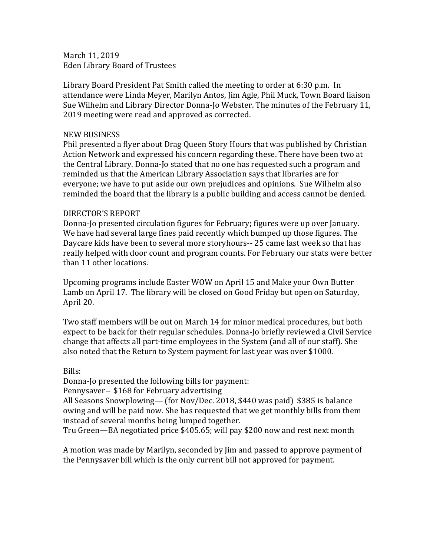March 11, 2019 Eden Library Board of Trustees

Library Board President Pat Smith called the meeting to order at 6:30 p.m. In attendance were Linda Meyer, Marilyn Antos, Jim Agle, Phil Muck, Town Board liaison Sue Wilhelm and Library Director Donna-Jo Webster. The minutes of the February 11, 2019 meeting were read and approved as corrected.

### NEW BUSINESS

Phil presented a flyer about Drag Queen Story Hours that was published by Christian Action Network and expressed his concern regarding these. There have been two at the Central Library. Donna-Jo stated that no one has requested such a program and reminded us that the American Library Association says that libraries are for everyone; we have to put aside our own prejudices and opinions. Sue Wilhelm also reminded the board that the library is a public building and access cannot be denied.

## DIRECTOR'S REPORT

Donna-Jo presented circulation figures for February; figures were up over January. We have had several large fines paid recently which bumped up those figures. The Daycare kids have been to several more storyhours-- 25 came last week so that has really helped with door count and program counts. For February our stats were better than 11 other locations.

Upcoming programs include Easter WOW on April 15 and Make your Own Butter Lamb on April 17. The library will be closed on Good Friday but open on Saturday, April 20.

Two staff members will be out on March 14 for minor medical procedures, but both expect to be back for their regular schedules. Donna-Jo briefly reviewed a Civil Service change that affects all part-time employees in the System (and all of our staff). She also noted that the Return to System payment for last year was over \$1000.

# Bills:

Donna-Jo presented the following bills for payment:

Pennysaver-- \$168 for February advertising

All Seasons Snowplowing— (for Nov/Dec. 2018, \$440 was paid) \$385 is balance owing and will be paid now. She has requested that we get monthly bills from them instead of several months being lumped together.

Tru Green—BA negotiated price \$405.65; will pay \$200 now and rest next month

A motion was made by Marilyn, seconded by Jim and passed to approve payment of the Pennysaver bill which is the only current bill not approved for payment.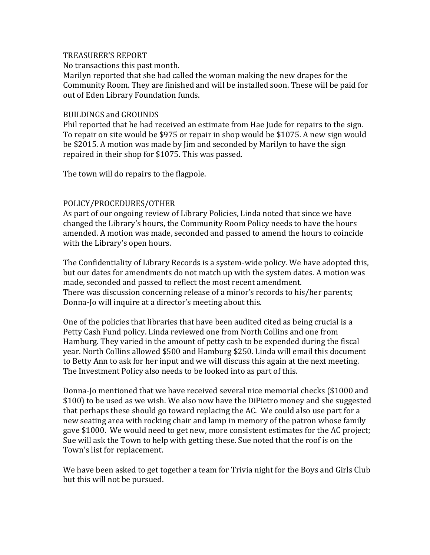### TREASURER'S REPORT

No transactions this past month.

Marilyn reported that she had called the woman making the new drapes for the Community Room. They are finished and will be installed soon. These will be paid for out of Eden Library Foundation funds.

#### BUILDINGS and GROUNDS

Phil reported that he had received an estimate from Hae Jude for repairs to the sign. To repair on site would be \$975 or repair in shop would be \$1075. A new sign would be \$2015. A motion was made by Jim and seconded by Marilyn to have the sign repaired in their shop for \$1075. This was passed.

The town will do repairs to the flagpole.

## POLICY/PROCEDURES/OTHER

As part of our ongoing review of Library Policies, Linda noted that since we have changed the Library's hours, the Community Room Policy needs to have the hours amended. A motion was made, seconded and passed to amend the hours to coincide with the Library's open hours.

The Confidentiality of Library Records is a system-wide policy. We have adopted this, but our dates for amendments do not match up with the system dates. A motion was made, seconded and passed to reflect the most recent amendment. There was discussion concerning release of a minor's records to his/her parents; Donna-Jo will inquire at a director's meeting about this.

One of the policies that libraries that have been audited cited as being crucial is a Petty Cash Fund policy. Linda reviewed one from North Collins and one from Hamburg. They varied in the amount of petty cash to be expended during the fiscal year. North Collins allowed \$500 and Hamburg \$250. Linda will email this document to Betty Ann to ask for her input and we will discuss this again at the next meeting. The Investment Policy also needs to be looked into as part of this.

Donna-Jo mentioned that we have received several nice memorial checks (\$1000 and \$100) to be used as we wish. We also now have the DiPietro money and she suggested that perhaps these should go toward replacing the AC. We could also use part for a new seating area with rocking chair and lamp in memory of the patron whose family gave \$1000. We would need to get new, more consistent estimates for the AC project; Sue will ask the Town to help with getting these. Sue noted that the roof is on the Town's list for replacement.

We have been asked to get together a team for Trivia night for the Boys and Girls Club but this will not be pursued.